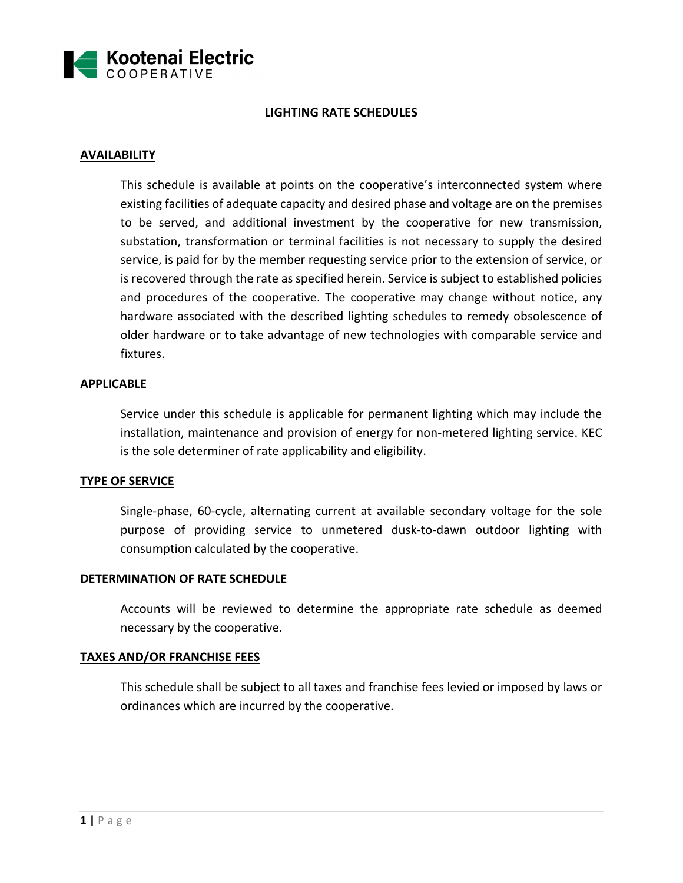

## **LIGHTING RATE SCHEDULES**

# **AVAILABILITY**

This schedule is available at points on the cooperative's interconnected system where existing facilities of adequate capacity and desired phase and voltage are on the premises to be served, and additional investment by the cooperative for new transmission, substation, transformation or terminal facilities is not necessary to supply the desired service, is paid for by the member requesting service prior to the extension of service, or is recovered through the rate as specified herein. Service is subject to established policies and procedures of the cooperative. The cooperative may change without notice, any hardware associated with the described lighting schedules to remedy obsolescence of older hardware or to take advantage of new technologies with comparable service and fixtures.

### **APPLICABLE**

Service under this schedule is applicable for permanent lighting which may include the installation, maintenance and provision of energy for non-metered lighting service. KEC is the sole determiner of rate applicability and eligibility.

#### **TYPE OF SERVICE**

Single-phase, 60-cycle, alternating current at available secondary voltage for the sole purpose of providing service to unmetered dusk-to-dawn outdoor lighting with consumption calculated by the cooperative.

#### **DETERMINATION OF RATE SCHEDULE**

Accounts will be reviewed to determine the appropriate rate schedule as deemed necessary by the cooperative.

#### **TAXES AND/OR FRANCHISE FEES**

This schedule shall be subject to all taxes and franchise fees levied or imposed by laws or ordinances which are incurred by the cooperative.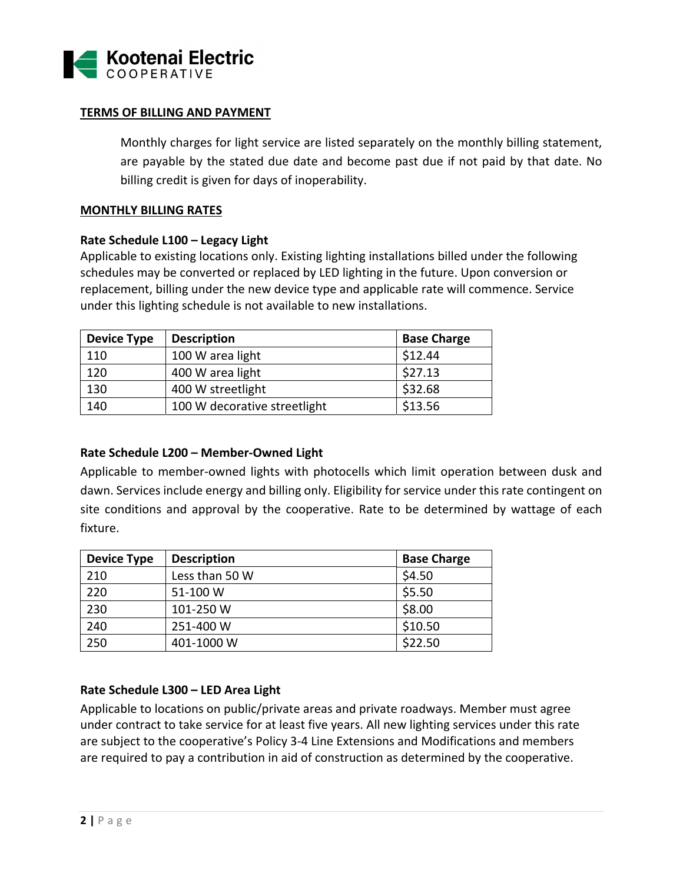

### **TERMS OF BILLING AND PAYMENT**

Monthly charges for light service are listed separately on the monthly billing statement, are payable by the stated due date and become past due if not paid by that date. No billing credit is given for days of inoperability.

#### **MONTHLY BILLING RATES**

#### **Rate Schedule L100 – Legacy Light**

Applicable to existing locations only. Existing lighting installations billed under the following schedules may be converted or replaced by LED lighting in the future. Upon conversion or replacement, billing under the new device type and applicable rate will commence. Service under this lighting schedule is not available to new installations.

| <b>Device Type</b> | <b>Description</b>           | <b>Base Charge</b> |
|--------------------|------------------------------|--------------------|
| 110                | 100 W area light             | \$12.44            |
| 120                | 400 W area light             | \$27.13            |
| 130                | 400 W streetlight            | \$32.68            |
| 140                | 100 W decorative streetlight | \$13.56            |

## **Rate Schedule L200 – Member‐Owned Light**

Applicable to member-owned lights with photocells which limit operation between dusk and dawn. Services include energy and billing only. Eligibility for service under this rate contingent on site conditions and approval by the cooperative. Rate to be determined by wattage of each fixture.

| <b>Device Type</b> | <b>Description</b> | <b>Base Charge</b> |
|--------------------|--------------------|--------------------|
| 210                | Less than 50 W     | \$4.50             |
| 220                | 51-100 W           | \$5.50             |
| 230                | 101-250 W          | \$8.00             |
| 240                | 251-400 W          | \$10.50            |
| 250                | 401-1000 W         | \$22.50            |

## **Rate Schedule L300 – LED Area Light**

Applicable to locations on public/private areas and private roadways. Member must agree under contract to take service for at least five years. All new lighting services under this rate are subject to the cooperative's Policy 3‐4 Line Extensions and Modifications and members are required to pay a contribution in aid of construction as determined by the cooperative.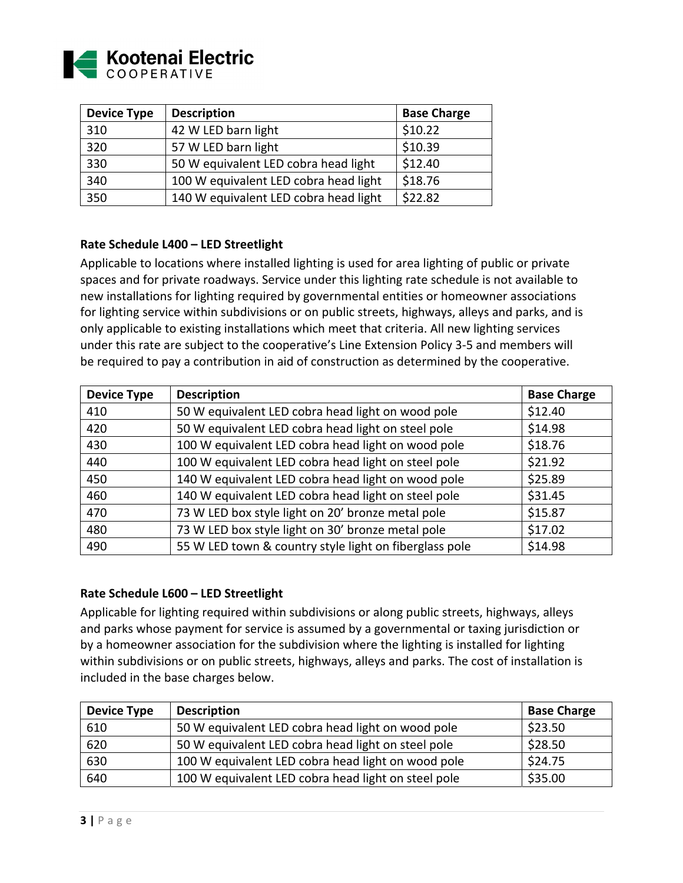

| <b>Device Type</b> | <b>Description</b>                    | <b>Base Charge</b> |
|--------------------|---------------------------------------|--------------------|
| 310                | 42 W LED barn light                   | \$10.22            |
| 320                | 57 W LED barn light                   | \$10.39            |
| 330                | 50 W equivalent LED cobra head light  | \$12.40            |
| 340                | 100 W equivalent LED cobra head light | \$18.76            |
| 350                | 140 W equivalent LED cobra head light | \$22.82            |

## **Rate Schedule L400 – LED Streetlight**

Applicable to locations where installed lighting is used for area lighting of public or private spaces and for private roadways. Service under this lighting rate schedule is not available to new installations for lighting required by governmental entities or homeowner associations for lighting service within subdivisions or on public streets, highways, alleys and parks, and is only applicable to existing installations which meet that criteria. All new lighting services under this rate are subject to the cooperative's Line Extension Policy 3‐5 and members will be required to pay a contribution in aid of construction as determined by the cooperative.

| <b>Device Type</b> | <b>Description</b>                                     | <b>Base Charge</b> |
|--------------------|--------------------------------------------------------|--------------------|
| 410                | 50 W equivalent LED cobra head light on wood pole      | \$12.40            |
| 420                | 50 W equivalent LED cobra head light on steel pole     | \$14.98            |
| 430                | 100 W equivalent LED cobra head light on wood pole     | \$18.76            |
| 440                | 100 W equivalent LED cobra head light on steel pole    | \$21.92            |
| 450                | 140 W equivalent LED cobra head light on wood pole     | \$25.89            |
| 460                | 140 W equivalent LED cobra head light on steel pole    | \$31.45            |
| 470                | 73 W LED box style light on 20' bronze metal pole      | \$15.87            |
| 480                | 73 W LED box style light on 30' bronze metal pole      | \$17.02            |
| 490                | 55 W LED town & country style light on fiberglass pole | \$14.98            |

#### **Rate Schedule L600 – LED Streetlight**

Applicable for lighting required within subdivisions or along public streets, highways, alleys and parks whose payment for service is assumed by a governmental or taxing jurisdiction or by a homeowner association for the subdivision where the lighting is installed for lighting within subdivisions or on public streets, highways, alleys and parks. The cost of installation is included in the base charges below.

| <b>Device Type</b> | <b>Description</b>                                  | <b>Base Charge</b> |
|--------------------|-----------------------------------------------------|--------------------|
| 610                | 50 W equivalent LED cobra head light on wood pole   | \$23.50            |
| 620                | 50 W equivalent LED cobra head light on steel pole  | \$28.50            |
| 630                | 100 W equivalent LED cobra head light on wood pole  | \$24.75            |
| 640                | 100 W equivalent LED cobra head light on steel pole | \$35.00            |